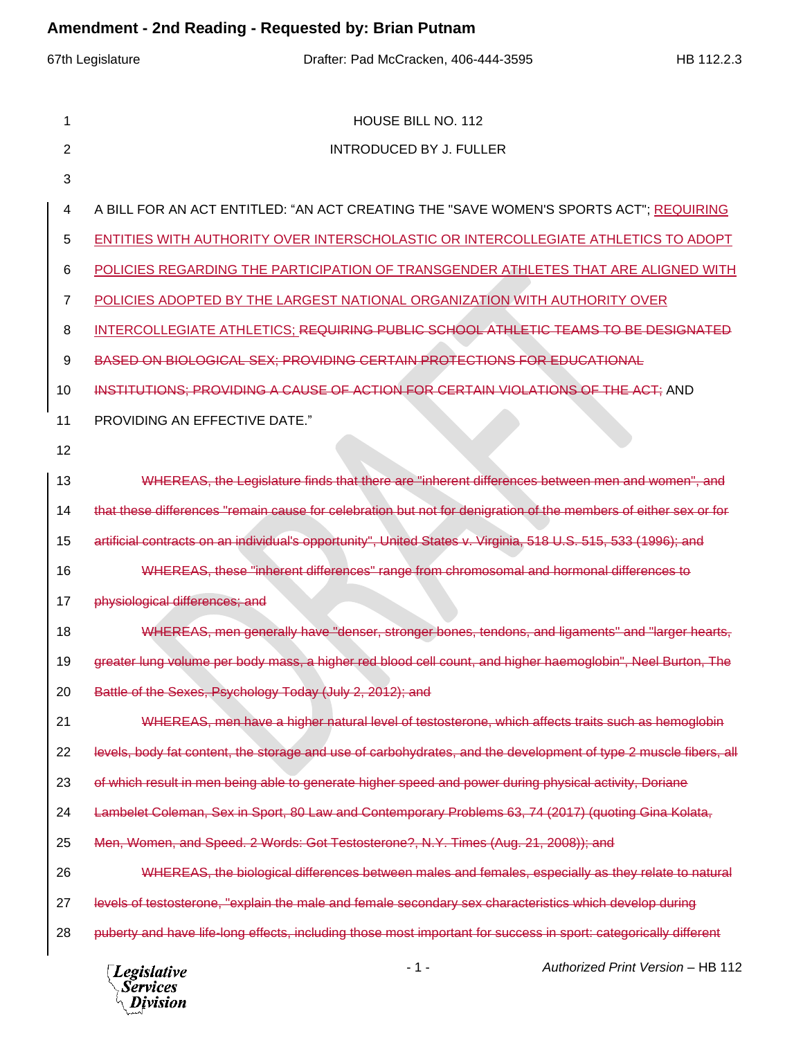## **Amendment - 2nd Reading - Requested by: Brian Putnam**

| Anichanicht - Zhu Neaunig - Nequesteu by. Dhan Futham |                                                                                                                  |  |  |  |  |  |  |
|-------------------------------------------------------|------------------------------------------------------------------------------------------------------------------|--|--|--|--|--|--|
|                                                       | 67th Legislature<br>Drafter: Pad McCracken, 406-444-3595<br>HB 112.2.3                                           |  |  |  |  |  |  |
| 1                                                     | HOUSE BILL NO. 112                                                                                               |  |  |  |  |  |  |
| 2                                                     | <b>INTRODUCED BY J. FULLER</b>                                                                                   |  |  |  |  |  |  |
| 3                                                     |                                                                                                                  |  |  |  |  |  |  |
| 4                                                     | A BILL FOR AN ACT ENTITLED: "AN ACT CREATING THE "SAVE WOMEN'S SPORTS ACT"; REQUIRING                            |  |  |  |  |  |  |
| 5                                                     | ENTITIES WITH AUTHORITY OVER INTERSCHOLASTIC OR INTERCOLLEGIATE ATHLETICS TO ADOPT                               |  |  |  |  |  |  |
| 6                                                     | POLICIES REGARDING THE PARTICIPATION OF TRANSGENDER ATHLETES THAT ARE ALIGNED WITH                               |  |  |  |  |  |  |
| $\overline{7}$                                        | POLICIES ADOPTED BY THE LARGEST NATIONAL ORGANIZATION WITH AUTHORITY OVER                                        |  |  |  |  |  |  |
| 8                                                     | INTERCOLLEGIATE ATHLETICS; REQUIRING PUBLIC SCHOOL ATHLETIC TEAMS TO BE DESIGNATED                               |  |  |  |  |  |  |
| 9                                                     | BASED ON BIOLOGICAL SEX: PROVIDING CERTAIN PROTECTIONS FOR EDUCATIONAL                                           |  |  |  |  |  |  |
| 10                                                    | INSTITUTIONS: PROVIDING A CAUSE OF ACTION FOR CERTAIN VIOLATIONS OF THE ACT; AND                                 |  |  |  |  |  |  |
| 11                                                    | PROVIDING AN EFFECTIVE DATE."                                                                                    |  |  |  |  |  |  |
| 12                                                    |                                                                                                                  |  |  |  |  |  |  |
| 13                                                    | WHEREAS, the Legislature finds that there are "inherent differences between men and women", and                  |  |  |  |  |  |  |
| 14                                                    | that these differences "remain cause for celebration but not for denigration of the members of either sex or for |  |  |  |  |  |  |
| 15                                                    | artificial contracts on an individual's opportunity", United States v. Virginia, 518 U.S. 515, 533 (1996); and   |  |  |  |  |  |  |
| 16                                                    | WHEREAS, these "inherent differences" range from chromosomal and hormonal differences to                         |  |  |  |  |  |  |
| 17                                                    | physiological differences; and                                                                                   |  |  |  |  |  |  |
| 18                                                    | WHEREAS, men generally have "denser, stronger bones, tendons, and ligaments" and "larger hearts,                 |  |  |  |  |  |  |
| 19                                                    | greater lung volume per body mass, a higher red blood cell count, and higher haemoglobin", Neel Burton, The      |  |  |  |  |  |  |
| 20                                                    | Battle of the Sexes, Psychology Today (July 2, 2012); and                                                        |  |  |  |  |  |  |
| 21                                                    | WHEREAS, men have a higher natural level of testosterone, which affects traits such as hemoglobin                |  |  |  |  |  |  |
| 22                                                    | levels, body fat content, the storage and use of carbohydrates, and the development of type 2 muscle fibers, all |  |  |  |  |  |  |
| 23                                                    | of which result in men being able to generate higher speed and power during physical activity, Doriane           |  |  |  |  |  |  |
| 24                                                    | Lambelet Coleman, Sex in Sport, 80 Law and Contemporary Problems 63, 74 (2017) (quoting Gina Kolata,             |  |  |  |  |  |  |
| 25                                                    | Men, Women, and Speed. 2 Words: Got Testosterone?, N.Y. Times (Aug. 21, 2008)); and                              |  |  |  |  |  |  |
| 26                                                    | WHEREAS, the biological differences between males and females, especially as they relate to natural              |  |  |  |  |  |  |
| 27                                                    | levels of testosterone, "explain the male and female secondary sex characteristics which develop during          |  |  |  |  |  |  |
| 28                                                    | puberty and have life-long effects, including those most important for success in sport: categorically different |  |  |  |  |  |  |
|                                                       |                                                                                                                  |  |  |  |  |  |  |

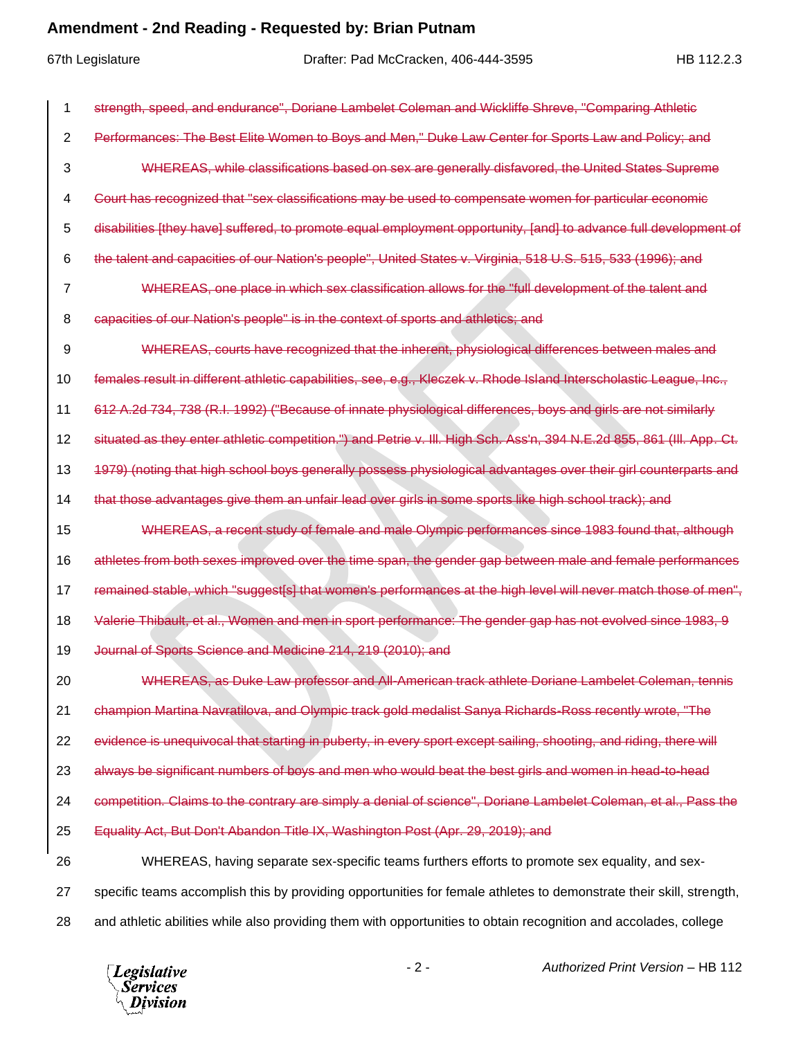## **Amendment - 2nd Reading - Requested by: Brian Putnam**

| 1  | speed, and endurance", Doriane Lambelet Coleman and Wickliffe Shreve, "Comparing Athletic                             |
|----|-----------------------------------------------------------------------------------------------------------------------|
| 2  | Performances: The Best Elite Women to Boys and Men," Duke Law Center for Sports Law and Policy; and                   |
| 3  | WHEREAS, while classifications based on sex are generally disfavored, the United States Supreme                       |
| 4  | Court has recognized that "sex classifications may be used to compensate women for particular economic                |
| 5  | disabilities [they have] suffered, to promote equal employment opportunity, [and] to advance full development of      |
| 6  | the talent and capacities of our Nation's people", United States v. Virginia, 518 U.S. 515, 533 (1996); and           |
| 7  | WHEREAS, one place in which sex classification allows for the "full development of the talent and                     |
| 8  | capacities of our Nation's people" is in the context of sports and athletics; and                                     |
| 9  | WHEREAS, courts have recognized that the inherent, physiological differences between males and                        |
| 10 | females result in different athletic capabilities, see, e.g., Kleczek v. Rhode Island Interscholastic League, Inc.,   |
| 11 | 738 (R.I. 1992) ("Because of innate physiological differences, boys and girls are not similarly                       |
| 12 | situated as they enter athletic competition.") and Petrie v. III. High Sch. Ass'n, 394 N.E.2d 855, 861 (III. App. Ct. |
| 13 | 1979) (noting that high school boys generally possess physiological advantages over their girl counterparts and       |
| 14 | that those advantages give them an unfair lead over girls in some sports like high school track); and                 |
| 15 | WHEREAS, a recent study of female and male Olympic performances since 1983 found that, although                       |
| 16 | athletes from both sexes improved over the time span, the gender gap between male and female performances             |
| 17 | remained stable, which "suggest[s] that women's performances at the high level will never match those of men",        |
| 18 | Valerie Thibault, et al., Women and men in sport performance: The gender gap has not evolved since 1983, 9            |
| 19 | Journal of Sports Science and Medicine 214, 219 (2010); and                                                           |
| 20 | WHEREAS, as Duke Law professor and All-American track athlete Doriane Lambelet Coleman, tennis                        |
| 21 | champion Martina Navratilova, and Olympic track gold medalist Sanya Richards-Ross recently wrote, "The                |
| 22 | evidence is unequivocal that starting in puberty, in every sport except sailing, shooting, and riding, there will     |
| 23 | always be significant numbers of boys and men who would beat the best girls and women in head-to-head                 |
| 24 | competition. Claims to the contrary are simply a denial of science", Doriane Lambelet Coleman, et al., Pass the       |
| 25 | Equality Act, But Don't Abandon Title IX, Washington Post (Apr. 29, 2019); and                                        |
| 26 | WHEREAS, having separate sex-specific teams furthers efforts to promote sex equality, and sex-                        |
| 27 | specific teams accomplish this by providing opportunities for female athletes to demonstrate their skill, strength,   |
| 28 | and athletic abilities while also providing them with opportunities to obtain recognition and accolades, college      |



- 2 - *Authorized Print Version* – HB 112